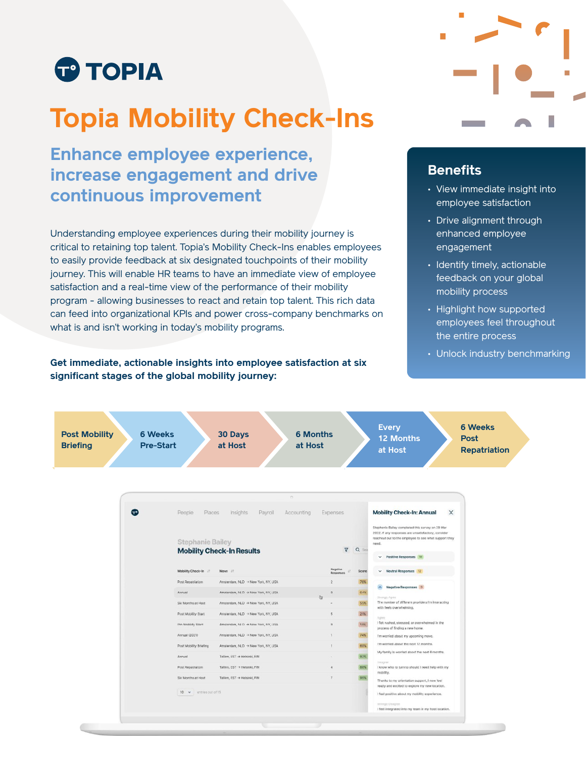

# **Topia Mobility Check-Ins**

## **Enhance employee experience, increase engagement and drive continuous improvement**

Understanding employee experiences during their mobility journey is critical to retaining top talent. Topia's Mobility Check-Ins enables employees to easily provide feedback at six designated touchpoints of their mobility journey. This will enable HR teams to have an immediate view of employee satisfaction and a real-time view of the performance of their mobility program - allowing businesses to react and retain top talent. This rich data can feed into organizational KPIs and power cross-company benchmarks on what is and isn't working in today's mobility programs.

#### **Get immediate, actionable insights into employee satisfaction at six significant stages of the global mobility journey:**



#### **Benefits**

- View immediate insight into employee satisfaction
- Drive alignment through enhanced employee engagement
- Identify timely, actionable feedback on your global mobility process
- Highlight how supported employees feel throughout the entire process
- Unlock industry benchmarking